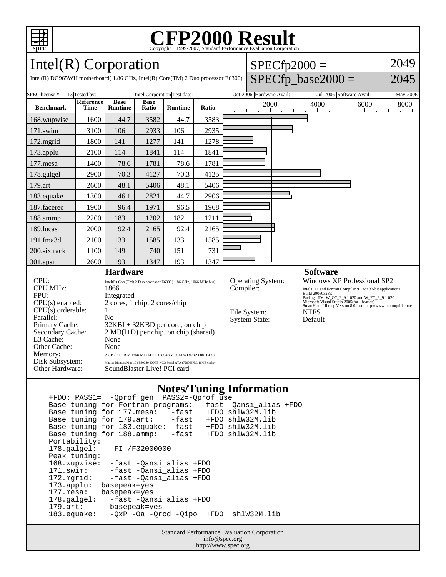

# Copyright ©1999-2007, Standard Performance Evaluation Corporation

 $SPECfp2000 =$ 

 $SPECfp\_base2000 =$ 

2049

2045

Intel(R) Corporation

Intel(R) DG965WH motherboard( 1.86 GHz, Intel(R) Core(TM) 2 Duo processor E6300)

| SPEC license #:                                                                                                                                                                                                                                                                                                                                                                                                                                                                                                                                                                                                                                                          |                                   |             |                |                                                   |                                                                                                                                                                                                                                                                                                                             |  |                                               |                                                      |                                                      |
|--------------------------------------------------------------------------------------------------------------------------------------------------------------------------------------------------------------------------------------------------------------------------------------------------------------------------------------------------------------------------------------------------------------------------------------------------------------------------------------------------------------------------------------------------------------------------------------------------------------------------------------------------------------------------|-----------------------------------|-------------|----------------|---------------------------------------------------|-----------------------------------------------------------------------------------------------------------------------------------------------------------------------------------------------------------------------------------------------------------------------------------------------------------------------------|--|-----------------------------------------------|------------------------------------------------------|------------------------------------------------------|
|                                                                                                                                                                                                                                                                                                                                                                                                                                                                                                                                                                                                                                                                          |                                   |             |                |                                                   |                                                                                                                                                                                                                                                                                                                             |  | May-2006                                      |                                                      |                                                      |
| <b>Time</b>                                                                                                                                                                                                                                                                                                                                                                                                                                                                                                                                                                                                                                                              | <b>Runtime</b>                    | Ratio       | <b>Runtime</b> | Ratio                                             | 2000                                                                                                                                                                                                                                                                                                                        |  | 4000                                          | 6000<br><b>The contract of the Contract Contract</b> | 8000                                                 |
| 1600                                                                                                                                                                                                                                                                                                                                                                                                                                                                                                                                                                                                                                                                     | 44.7                              | 3582        | 44.7           | 3583                                              |                                                                                                                                                                                                                                                                                                                             |  |                                               |                                                      |                                                      |
| 3100                                                                                                                                                                                                                                                                                                                                                                                                                                                                                                                                                                                                                                                                     | 106                               | 2933        | 106            | 2935                                              |                                                                                                                                                                                                                                                                                                                             |  |                                               |                                                      |                                                      |
| 1800                                                                                                                                                                                                                                                                                                                                                                                                                                                                                                                                                                                                                                                                     | 141                               | 1277        | 141            | 1278                                              |                                                                                                                                                                                                                                                                                                                             |  |                                               |                                                      |                                                      |
| 2100                                                                                                                                                                                                                                                                                                                                                                                                                                                                                                                                                                                                                                                                     | 114                               | 1841        | 114            | 1841                                              |                                                                                                                                                                                                                                                                                                                             |  |                                               |                                                      |                                                      |
| 1400                                                                                                                                                                                                                                                                                                                                                                                                                                                                                                                                                                                                                                                                     | 78.6                              | 1781        | 78.6           | 1781                                              |                                                                                                                                                                                                                                                                                                                             |  |                                               |                                                      |                                                      |
| 2900                                                                                                                                                                                                                                                                                                                                                                                                                                                                                                                                                                                                                                                                     | 70.3                              | 4127        | 70.3           | 4125                                              |                                                                                                                                                                                                                                                                                                                             |  |                                               |                                                      |                                                      |
| 2600                                                                                                                                                                                                                                                                                                                                                                                                                                                                                                                                                                                                                                                                     | 48.1                              | 5406        | 48.1           | 5406                                              |                                                                                                                                                                                                                                                                                                                             |  |                                               |                                                      |                                                      |
| 1300                                                                                                                                                                                                                                                                                                                                                                                                                                                                                                                                                                                                                                                                     | 46.1                              | 2821        | 44.7           | 2906                                              |                                                                                                                                                                                                                                                                                                                             |  |                                               |                                                      |                                                      |
| 1900                                                                                                                                                                                                                                                                                                                                                                                                                                                                                                                                                                                                                                                                     | 96.4                              | 1971        | 96.5           | 1968                                              |                                                                                                                                                                                                                                                                                                                             |  |                                               |                                                      |                                                      |
| 2200                                                                                                                                                                                                                                                                                                                                                                                                                                                                                                                                                                                                                                                                     | 183                               | 1202        | 182            | 1211                                              |                                                                                                                                                                                                                                                                                                                             |  |                                               |                                                      |                                                      |
| 2000                                                                                                                                                                                                                                                                                                                                                                                                                                                                                                                                                                                                                                                                     | 92.4                              | 2165        | 92.4           | 2165                                              |                                                                                                                                                                                                                                                                                                                             |  |                                               |                                                      |                                                      |
| 2100                                                                                                                                                                                                                                                                                                                                                                                                                                                                                                                                                                                                                                                                     | 133                               | 1585        | 133            | 1585                                              |                                                                                                                                                                                                                                                                                                                             |  |                                               |                                                      |                                                      |
| 1100                                                                                                                                                                                                                                                                                                                                                                                                                                                                                                                                                                                                                                                                     | 149                               | 740         | 151            | 731                                               |                                                                                                                                                                                                                                                                                                                             |  |                                               |                                                      |                                                      |
| 2600                                                                                                                                                                                                                                                                                                                                                                                                                                                                                                                                                                                                                                                                     | 193                               | 1347        | 193            | 1347                                              |                                                                                                                                                                                                                                                                                                                             |  |                                               |                                                      |                                                      |
| <b>Hardware</b><br>CPU:<br>Intel(R) Core(TM) 2 Duo processor E6300(1.86 GHz, 1066 MHz bus)<br><b>CPU MHz:</b><br>1866<br>FPU:<br>Integrated<br>2 cores, 1 chip, 2 cores/chip<br>$CPU(s)$ enabled:<br>$CPU(s)$ orderable:<br>1<br>Parallel:<br>N <sub>0</sub><br>Primary Cache:<br>$32KBI + 32KBD$ per core, on chip<br>$2 \text{ MB}(I+D)$ per chip, on chip (shared)<br>Secondary Cache:<br>L <sub>3</sub> Cache:<br>None<br>Other Cache:<br>None<br>Memory:<br>2 GB (2 1GB Micron MT16HTF12864AY-80ED4 DDR2 800, CL5)<br>Disk Subsystem:<br>Maxtor DiamondMax 10 6B300S0 300GB NCQ Serial ATA (7200 RPM, 16MB cache)<br>Other Hardware:<br>SoundBlaster Live! PCI card |                                   |             |                | Compiler:<br>File System:<br><b>System State:</b> | <b>Software</b><br>Windows XP Professional SP2<br>Intel C++ and Fortran Compiler 9.1 for 32-bit applications<br>Build 20060323Z<br>Package IDs: W_CC_P_9.1.020 and W_FC_P_9.1.020<br>Microsoft Visual Studio 2005(for libraries)<br>SmartHeap Library Version 8.0 from http://www.microquill.com/<br><b>NTFS</b><br>Default |  |                                               |                                                      |                                                      |
|                                                                                                                                                                                                                                                                                                                                                                                                                                                                                                                                                                                                                                                                          | 13 Tested by:<br><b>Reference</b> | <b>Base</b> | <b>Base</b>    | Intel Corporation Test date:                      |                                                                                                                                                                                                                                                                                                                             |  | Oct-2006 Hardware Avail:<br>Operating System: | والمستقل والمستقل والمستقلة والمستورة                | Jul-2006 Software Avail:<br>The property of the con- |

#### **Notes/Tuning Information**

 +FDO: PASS1= -Qprof\_gen PASS2=-Qprof\_use Base tuning for Fortran programs: -fast -Qansi\_alias +FDO Base tuning for 177.mesa: -fast +FDO shlW32M.lib<br>Base tuning for 179.art: -fast +FDO shlW32M.lib Base tuning for 179.art: -fast +FDO shlW32M.lib Base tuning for 183.equake: -fast +FDO shlW32M.lib Base tuning for 188.ammp: -fast +FDO shlW32M.lib Portability:<br>178.galgel: -FI /F32000000 Peak tuning: 168.wupwise: -fast -Qansi\_alias +FDO 171.swim: -fast -Qansi\_alias +FDO 172.mgrid: -fast -Qansi\_alias +FDO 173.applu: basepeak=yes<br>177.mesa: basepeak=yes 177.mesa: basepeak=yes<br>178.galgel: -fast -Qan -fast -Qansi\_alias +FDO 179.art: basepeak=yes -QxP -Oa -Qrcd -Qipo +FDO shlW32M.lib

> Standard Performance Evaluation Corporation info@spec.org http://www.spec.org